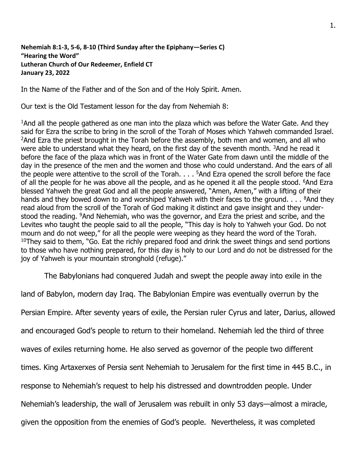## **Nehemiah 8:1-3, 5-6, 8-10 (Third Sunday after the Epiphany—Series C) "Hearing the Word" Lutheran Church of Our Redeemer, Enfield CT January 23, 2022**

In the Name of the Father and of the Son and of the Holy Spirit. Amen.

Our text is the Old Testament lesson for the day from Nehemiah 8:

<sup>1</sup>And all the people gathered as one man into the plaza which was before the Water Gate. And they said for Ezra the scribe to bring in the scroll of the Torah of Moses which Yahweh commanded Israel. <sup>2</sup>And Ezra the priest brought in the Torah before the assembly, both men and women, and all who were able to understand what they heard, on the first day of the seventh month. <sup>3</sup>And he read it before the face of the plaza which was in front of the Water Gate from dawn until the middle of the day in the presence of the men and the women and those who could understand. And the ears of all the people were attentive to the scroll of the Torah. . . . <sup>5</sup>And Ezra opened the scroll before the face of all the people for he was above all the people, and as he opened it all the people stood. <sup>6</sup>And Ezra blessed Yahweh the great God and all the people answered, "Amen, Amen," with a lifting of their hands and they bowed down to and worshiped Yahweh with their faces to the ground.  $\ldots$   $\frac{8}{1}$ And they read aloud from the scroll of the Torah of God making it distinct and gave insight and they understood the reading. <sup>9</sup>And Nehemiah, who was the governor, and Ezra the priest and scribe, and the Levites who taught the people said to all the people, "This day is holy to Yahweh your God. Do not mourn and do not weep," for all the people were weeping as they heard the word of the Torah.  $10$ They said to them, "Go. Eat the richly prepared food and drink the sweet things and send portions to those who have nothing prepared, for this day is holy to our Lord and do not be distressed for the joy of Yahweh is your mountain stronghold (refuge)."

The Babylonians had conquered Judah and swept the people away into exile in the

land of Babylon, modern day Iraq. The Babylonian Empire was eventually overrun by the Persian Empire. After seventy years of exile, the Persian ruler Cyrus and later, Darius, allowed and encouraged God's people to return to their homeland. Nehemiah led the third of three waves of exiles returning home. He also served as governor of the people two different times. King Artaxerxes of Persia sent Nehemiah to Jerusalem for the first time in 445 B.C., in response to Nehemiah's request to help his distressed and downtrodden people. Under Nehemiah's leadership, the wall of Jerusalem was rebuilt in only 53 days—almost a miracle, given the opposition from the enemies of God's people. Nevertheless, it was completed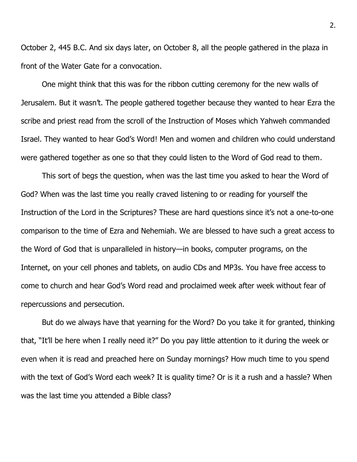October 2, 445 B.C. And six days later, on October 8, all the people gathered in the plaza in front of the Water Gate for a convocation.

One might think that this was for the ribbon cutting ceremony for the new walls of Jerusalem. But it wasn't. The people gathered together because they wanted to hear Ezra the scribe and priest read from the scroll of the Instruction of Moses which Yahweh commanded Israel. They wanted to hear God's Word! Men and women and children who could understand were gathered together as one so that they could listen to the Word of God read to them.

This sort of begs the question, when was the last time you asked to hear the Word of God? When was the last time you really craved listening to or reading for yourself the Instruction of the Lord in the Scriptures? These are hard questions since it's not a one-to-one comparison to the time of Ezra and Nehemiah. We are blessed to have such a great access to the Word of God that is unparalleled in history—in books, computer programs, on the Internet, on your cell phones and tablets, on audio CDs and MP3s. You have free access to come to church and hear God's Word read and proclaimed week after week without fear of repercussions and persecution.

But do we always have that yearning for the Word? Do you take it for granted, thinking that, "It'll be here when I really need it?" Do you pay little attention to it during the week or even when it is read and preached here on Sunday mornings? How much time to you spend with the text of God's Word each week? It is quality time? Or is it a rush and a hassle? When was the last time you attended a Bible class?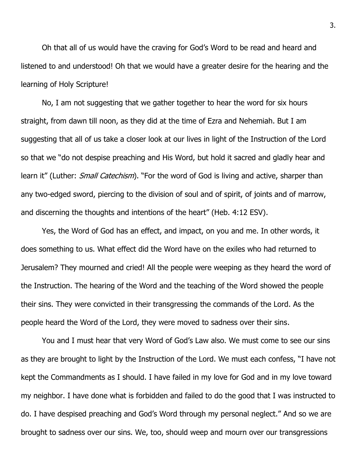Oh that all of us would have the craving for God's Word to be read and heard and listened to and understood! Oh that we would have a greater desire for the hearing and the learning of Holy Scripture!

No, I am not suggesting that we gather together to hear the word for six hours straight, from dawn till noon, as they did at the time of Ezra and Nehemiah. But I am suggesting that all of us take a closer look at our lives in light of the Instruction of the Lord so that we "do not despise preaching and His Word, but hold it sacred and gladly hear and learn it" (Luther: *Small Catechism*). "For the word of God is living and active, sharper than any two-edged sword, piercing to the division of soul and of spirit, of joints and of marrow, and discerning the thoughts and intentions of the heart" (Heb. 4:12 ESV).

Yes, the Word of God has an effect, and impact, on you and me. In other words, it does something to us. What effect did the Word have on the exiles who had returned to Jerusalem? They mourned and cried! All the people were weeping as they heard the word of the Instruction. The hearing of the Word and the teaching of the Word showed the people their sins. They were convicted in their transgressing the commands of the Lord. As the people heard the Word of the Lord, they were moved to sadness over their sins.

You and I must hear that very Word of God's Law also. We must come to see our sins as they are brought to light by the Instruction of the Lord. We must each confess, "I have not kept the Commandments as I should. I have failed in my love for God and in my love toward my neighbor. I have done what is forbidden and failed to do the good that I was instructed to do. I have despised preaching and God's Word through my personal neglect." And so we are brought to sadness over our sins. We, too, should weep and mourn over our transgressions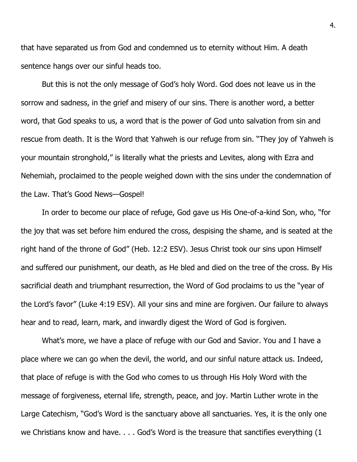that have separated us from God and condemned us to eternity without Him. A death sentence hangs over our sinful heads too.

But this is not the only message of God's holy Word. God does not leave us in the sorrow and sadness, in the grief and misery of our sins. There is another word, a better word, that God speaks to us, a word that is the power of God unto salvation from sin and rescue from death. It is the Word that Yahweh is our refuge from sin. "They joy of Yahweh is your mountain stronghold," is literally what the priests and Levites, along with Ezra and Nehemiah, proclaimed to the people weighed down with the sins under the condemnation of the Law. That's Good News—Gospel!

In order to become our place of refuge, God gave us His One-of-a-kind Son, who, "for the joy that was set before him endured the cross, despising the shame, and is seated at the right hand of the throne of God" (Heb. 12:2 ESV). Jesus Christ took our sins upon Himself and suffered our punishment, our death, as He bled and died on the tree of the cross. By His sacrificial death and triumphant resurrection, the Word of God proclaims to us the "year of the Lord's favor" (Luke 4:19 ESV). All your sins and mine are forgiven. Our failure to always hear and to read, learn, mark, and inwardly digest the Word of God is forgiven.

What's more, we have a place of refuge with our God and Savior. You and I have a place where we can go when the devil, the world, and our sinful nature attack us. Indeed, that place of refuge is with the God who comes to us through His Holy Word with the message of forgiveness, eternal life, strength, peace, and joy. Martin Luther wrote in the Large Catechism, "God's Word is the sanctuary above all sanctuaries. Yes, it is the only one we Christians know and have. . . . God's Word is the treasure that sanctifies everything (1)